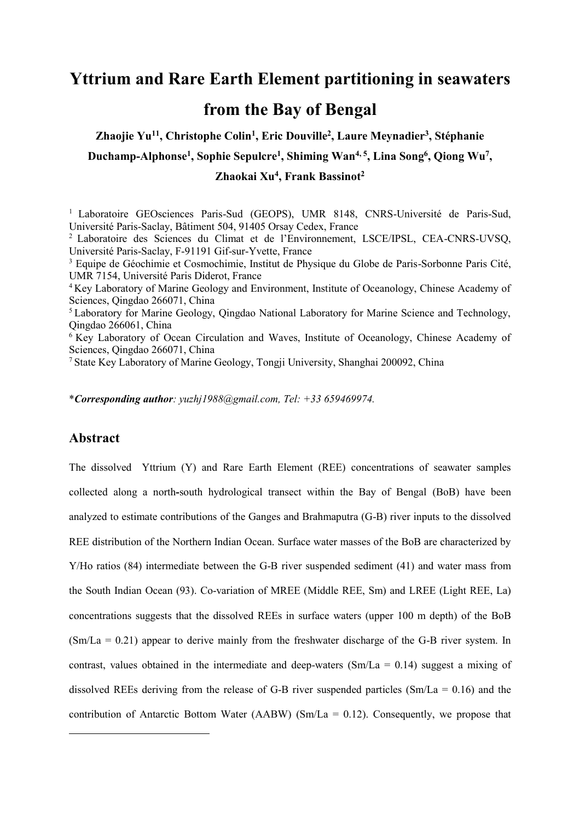## **Yttrium and Rare Earth Element partitioning in seawaters from the Bay of Bengal**

**Zhaojie Yu11, Christophe Colin1, Eric Douville2, Laure Meynadier3, Stéphanie Duchamp-Alphonse1, Sophie Sepulcre1, Shiming Wan4, 5, Lina Song6, Qiong Wu7, Zhaokai Xu4, Frank Bassinot2**

<sup>1</sup> Laboratoire GEOsciences Paris-Sud (GEOPS), UMR 8148, CNRS-Université de Paris-Sud, Université Paris-Saclay, Bâtiment 504, 91405 Orsay Cedex, France

<sup>2</sup> Laboratoire des Sciences du Climat et de l'Environnement, LSCE/IPSL, CEA-CNRS-UVSQ, Université Paris-Saclay, F-91191 Gif-sur-Yvette, France

<sup>3</sup> Equipe de Géochimie et Cosmochimie, Institut de Physique du Globe de Paris-Sorbonne Paris Cité, UMR 7154, Université Paris Diderot, France

<sup>4</sup> Key Laboratory of Marine Geology and Environment, Institute of Oceanology, Chinese Academy of Sciences, Qingdao 266071, China

<sup>5</sup> Laboratory for Marine Geology, Qingdao National Laboratory for Marine Science and Technology, Qingdao 266061, China

<sup>6</sup> Key Laboratory of Ocean Circulation and Waves, Institute of Oceanology, Chinese Academy of Sciences, Qingdao 266071, China

7 State Key Laboratory of Marine Geology, Tongji University, Shanghai 200092, China

\**Corresponding author: yuzhj1988@gmail.com, Tel: +33 659469974.*

## **Abstract**

1

The dissolved Yttrium (Y) and Rare Earth Element (REE) concentrations of seawater samples collected along a north**-**south hydrological transect within the Bay of Bengal (BoB) have been analyzed to estimate contributions of the Ganges and Brahmaputra (G-B) river inputs to the dissolved REE distribution of the Northern Indian Ocean. Surface water masses of the BoB are characterized by Y/Ho ratios (84) intermediate between the G-B river suspended sediment (41) and water mass from the South Indian Ocean (93). Co-variation of MREE (Middle REE, Sm) and LREE (Light REE, La) concentrations suggests that the dissolved REEs in surface waters (upper 100 m depth) of the BoB (Sm/La = 0.21) appear to derive mainly from the freshwater discharge of the G-B river system. In contrast, values obtained in the intermediate and deep-waters ( $Sm/La = 0.14$ ) suggest a mixing of dissolved REEs deriving from the release of G-B river suspended particles  $(Sm/La = 0.16)$  and the contribution of Antarctic Bottom Water (AABW) (Sm/La =  $0.12$ ). Consequently, we propose that